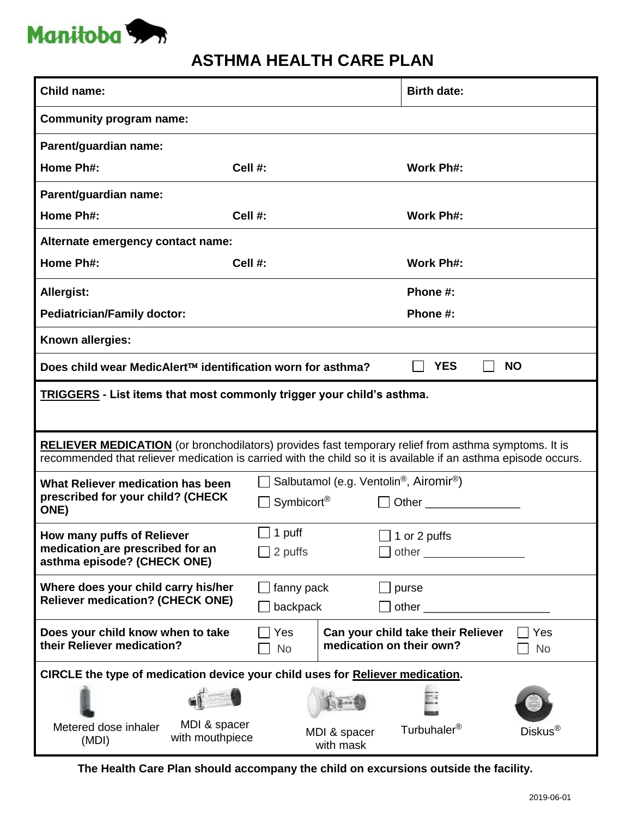

## **ASTHMA HEALTH CARE PLAN**

| <b>Child name:</b>                                                                                                                                                                                                           |                                                                                           | <b>Birth date:</b>                 |                  |  |
|------------------------------------------------------------------------------------------------------------------------------------------------------------------------------------------------------------------------------|-------------------------------------------------------------------------------------------|------------------------------------|------------------|--|
| <b>Community program name:</b>                                                                                                                                                                                               |                                                                                           |                                    |                  |  |
| Parent/guardian name:                                                                                                                                                                                                        |                                                                                           |                                    |                  |  |
| Home Ph#:                                                                                                                                                                                                                    | Cell #:                                                                                   | Work Ph#:                          |                  |  |
| Parent/guardian name:                                                                                                                                                                                                        |                                                                                           |                                    |                  |  |
| Home Ph#:                                                                                                                                                                                                                    | Cell #:                                                                                   | <b>Work Ph#:</b>                   |                  |  |
| Alternate emergency contact name:                                                                                                                                                                                            |                                                                                           |                                    |                  |  |
| Home Ph#:                                                                                                                                                                                                                    | Cell #:                                                                                   | Work Ph#:                          |                  |  |
| <b>Allergist:</b>                                                                                                                                                                                                            |                                                                                           | Phone #:                           |                  |  |
| <b>Pediatrician/Family doctor:</b>                                                                                                                                                                                           |                                                                                           | Phone #:                           |                  |  |
| Known allergies:                                                                                                                                                                                                             |                                                                                           |                                    |                  |  |
| <b>YES</b><br>Does child wear MedicAlert™ identification worn for asthma?<br><b>NO</b>                                                                                                                                       |                                                                                           |                                    |                  |  |
| <u> TRIGGERS</u> - List items that most commonly trigger your child's asthma.                                                                                                                                                |                                                                                           |                                    |                  |  |
| <b>RELIEVER MEDICATION</b> (or bronchodilators) provides fast temporary relief from asthma symptoms. It is<br>recommended that reliever medication is carried with the child so it is available if an asthma episode occurs. |                                                                                           |                                    |                  |  |
|                                                                                                                                                                                                                              |                                                                                           |                                    |                  |  |
| What Reliever medication has been<br>prescribed for your child? (CHECK<br><b>ONE)</b>                                                                                                                                        | Salbutamol (e.g. Ventolin <sup>®</sup> , Airomir <sup>®</sup> )<br>Symbicort <sup>®</sup> |                                    |                  |  |
| How many puffs of Reliever<br>medication are prescribed for an<br>asthma episode? (CHECK ONE)                                                                                                                                | $\Box$ 1 puff<br>2 puffs                                                                  | ∃ 1 or 2 puffs                     |                  |  |
| Where does your child carry his/her<br><b>Reliever medication? (CHECK ONE)</b>                                                                                                                                               | fanny pack<br>backpack                                                                    | purse                              |                  |  |
| Does your child know when to take<br>their Reliever medication?                                                                                                                                                              | Yes<br>medication on their own?<br><b>No</b>                                              | Can your child take their Reliever | Yes<br><b>No</b> |  |
| CIRCLE the type of medication device your child uses for Reliever medication.                                                                                                                                                |                                                                                           |                                    |                  |  |
|                                                                                                                                                                                                                              |                                                                                           |                                    |                  |  |

**The Health Care Plan should accompany the child on excursions outside the facility.**